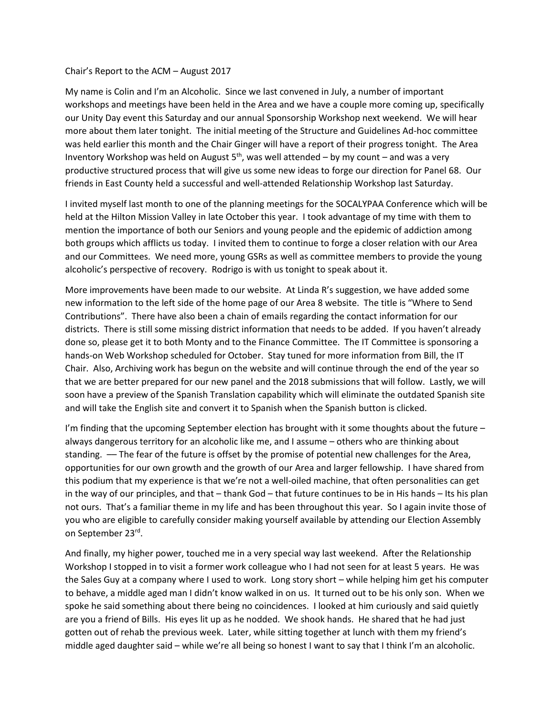## Chair's Report to the ACM – August 2017

My name is Colin and I'm an Alcoholic. Since we last convened in July, a number of important workshops and meetings have been held in the Area and we have a couple more coming up, specifically our Unity Day event this Saturday and our annual Sponsorship Workshop next weekend. We will hear more about them later tonight. The initial meeting of the Structure and Guidelines Ad-hoc committee was held earlier this month and the Chair Ginger will have a report of their progress tonight. The Area Inventory Workshop was held on August  $5<sup>th</sup>$ , was well attended – by my count – and was a very productive structured process that will give us some new ideas to forge our direction for Panel 68. Our friends in East County held a successful and well-attended Relationship Workshop last Saturday.

I invited myself last month to one of the planning meetings for the SOCALYPAA Conference which will be held at the Hilton Mission Valley in late October this year. I took advantage of my time with them to mention the importance of both our Seniors and young people and the epidemic of addiction among both groups which afflicts us today. I invited them to continue to forge a closer relation with our Area and our Committees. We need more, young GSRs as well as committee members to provide the young alcoholic's perspective of recovery. Rodrigo is with us tonight to speak about it.

More improvements have been made to our website. At Linda R's suggestion, we have added some new information to the left side of the home page of our Area 8 website. The title is "Where to Send Contributions". There have also been a chain of emails regarding the contact information for our districts. There is still some missing district information that needs to be added. If you haven't already done so, please get it to both Monty and to the Finance Committee. The IT Committee is sponsoring a hands-on Web Workshop scheduled for October. Stay tuned for more information from Bill, the IT Chair. Also, Archiving work has begun on the website and will continue through the end of the year so that we are better prepared for our new panel and the 2018 submissions that will follow. Lastly, we will soon have a preview of the Spanish Translation capability which will eliminate the outdated Spanish site and will take the English site and convert it to Spanish when the Spanish button is clicked.

I'm finding that the upcoming September election has brought with it some thoughts about the future – always dangerous territory for an alcoholic like me, and I assume – others who are thinking about standing. –– The fear of the future is offset by the promise of potential new challenges for the Area, opportunities for our own growth and the growth of our Area and larger fellowship. I have shared from this podium that my experience is that we're not a well-oiled machine, that often personalities can get in the way of our principles, and that – thank God – that future continues to be in His hands – Its his plan not ours. That's a familiar theme in my life and has been throughout this year. So I again invite those of you who are eligible to carefully consider making yourself available by attending our Election Assembly on September 23rd .

And finally, my higher power, touched me in a very special way last weekend. After the Relationship Workshop I stopped in to visit a former work colleague who I had not seen for at least 5 years. He was the Sales Guy at a company where I used to work. Long story short – while helping him get his computer to behave, a middle aged man I didn't know walked in on us. It turned out to be his only son. When we spoke he said something about there being no coincidences. I looked at him curiously and said quietly are you a friend of Bills. His eyes lit up as he nodded. We shook hands. He shared that he had just gotten out of rehab the previous week. Later, while sitting together at lunch with them my friend's middle aged daughter said – while we're all being so honest I want to say that I think I'm an alcoholic.